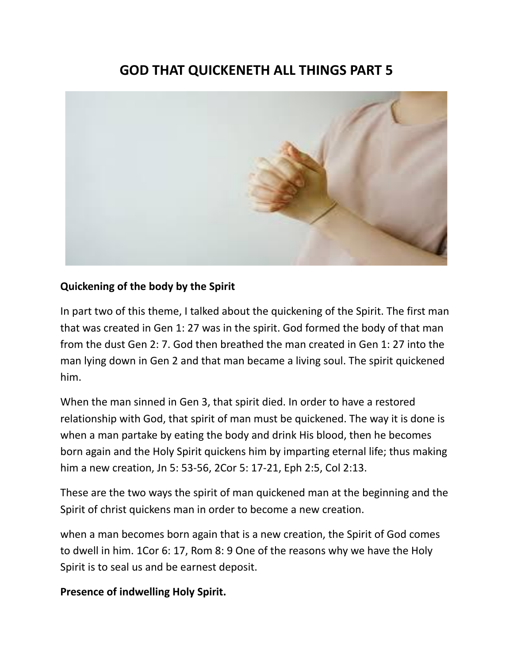# **GOD THAT QUICKENETH ALL THINGS PART 5**



#### **Quickening of the body by the Spirit**

In part two of this theme, I talked about the quickening of the Spirit. The first man that was created in Gen 1: 27 was in the spirit. God formed the body of that man from the dust Gen 2: 7. God then breathed the man created in Gen 1: 27 into the man lying down in Gen 2 and that man became a living soul. The spirit quickened him.

When the man sinned in Gen 3, that spirit died. In order to have a restored relationship with God, that spirit of man must be quickened. The way it is done is when a man partake by eating the body and drink His blood, then he becomes born again and the Holy Spirit quickens him by imparting eternal life; thus making him a new creation, Jn 5: 53-56, 2Cor 5: 17-21, Eph 2:5, Col 2:13.

These are the two ways the spirit of man quickened man at the beginning and the Spirit of christ quickens man in order to become a new creation.

when a man becomes born again that is a new creation, the Spirit of God comes to dwell in him. 1Cor 6: 17, Rom 8: 9 One of the reasons why we have the Holy Spirit is to seal us and be earnest deposit.

**Presence of indwelling Holy Spirit.**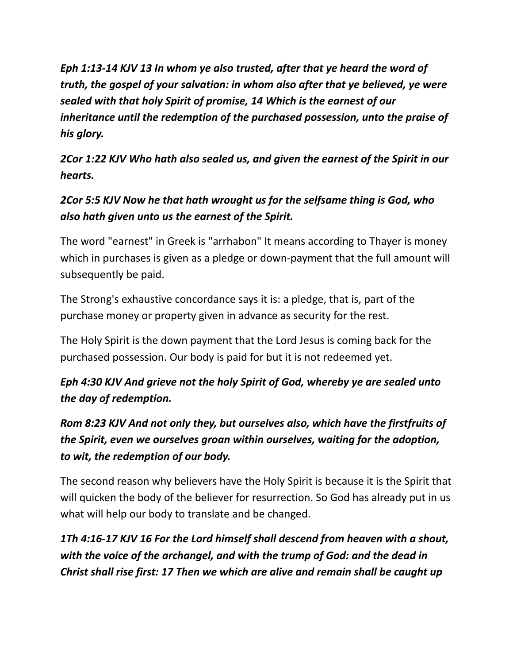*Eph 1:13-14 KJV 13 In whom ye also trusted, after that ye heard the word of truth, the gospel of your salvation: in whom also after that ye believed, ye were sealed with that holy Spirit of promise, 14 Which is the earnest of our inheritance until the redemption of the purchased possession, unto the praise of his glory.*

*2Cor 1:22 KJV Who hath also sealed us, and given the earnest of the Spirit in our hearts.*

# *2Cor 5:5 KJV Now he that hath wrought us for the selfsame thing is God, who also hath given unto us the earnest of the Spirit.*

The word "earnest" in Greek is "arrhabon" It means according to Thayer is money which in purchases is given as a pledge or down-payment that the full amount will subsequently be paid.

The Strong's exhaustive concordance says it is: a pledge, that is, part of the purchase money or property given in advance as security for the rest.

The Holy Spirit is the down payment that the Lord Jesus is coming back for the purchased possession. Our body is paid for but it is not redeemed yet.

# *Eph 4:30 KJV And grieve not the holy Spirit of God, whereby ye are sealed unto the day of redemption.*

*Rom 8:23 KJV And not only they, but ourselves also, which have the firstfruits of the Spirit, even we ourselves groan within ourselves, waiting for the adoption, to wit, the redemption of our body.*

The second reason why believers have the Holy Spirit is because it is the Spirit that will quicken the body of the believer for resurrection. So God has already put in us what will help our body to translate and be changed.

*1Th 4:16-17 KJV 16 For the Lord himself shall descend from heaven with a shout, with the voice of the archangel, and with the trump of God: and the dead in Christ shall rise first: 17 Then we which are alive and remain shall be caught up*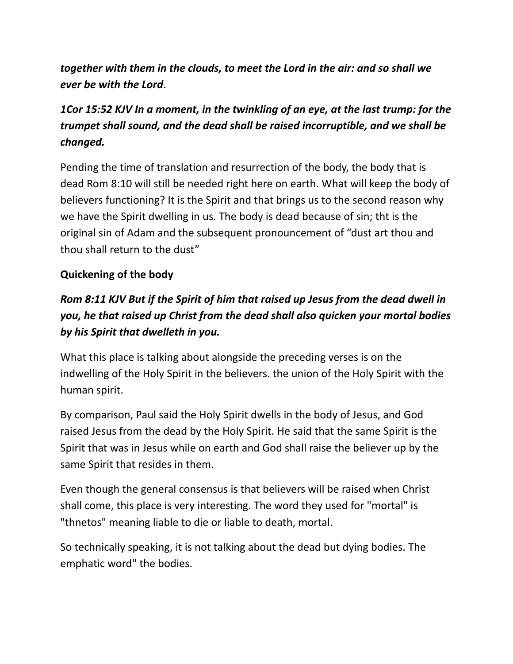*together with them in the clouds, to meet the Lord in the air: and so shall we ever be with the Lord*.

## *1Cor 15:52 KJV In a moment, in the twinkling of an eye, at the last trump: for the trumpet shall sound, and the dead shall be raised incorruptible, and we shall be changed.*

Pending the time of translation and resurrection of the body, the body that is dead Rom 8:10 will still be needed right here on earth. What will keep the body of believers functioning? It is the Spirit and that brings us to the second reason why we have the Spirit dwelling in us. The body is dead because of sin; tht is the original sin of Adam and the subsequent pronouncement of "dust art thou and thou shall return to the dust"

#### **Quickening of the body**

## *Rom 8:11 KJV But if the Spirit of him that raised up Jesus from the dead dwell in you, he that raised up Christ from the dead shall also quicken your mortal bodies by his Spirit that dwelleth in you.*

What this place is talking about alongside the preceding verses is on the indwelling of the Holy Spirit in the believers. the union of the Holy Spirit with the human spirit.

By comparison, Paul said the Holy Spirit dwells in the body of Jesus, and God raised Jesus from the dead by the Holy Spirit. He said that the same Spirit is the Spirit that was in Jesus while on earth and God shall raise the believer up by the same Spirit that resides in them.

Even though the general consensus is that believers will be raised when Christ shall come, this place is very interesting. The word they used for "mortal" is "thnetos" meaning liable to die or liable to death, mortal.

So technically speaking, it is not talking about the dead but dying bodies. The emphatic word" the bodies.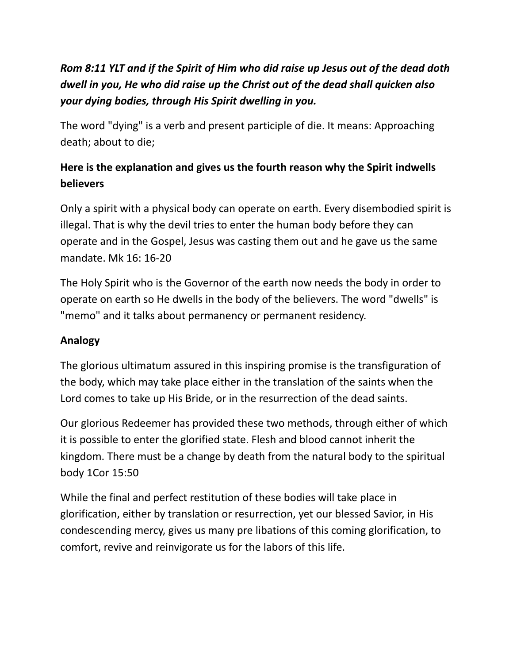# *Rom 8:11 YLT and if the Spirit of Him who did raise up Jesus out of the dead doth dwell in you, He who did raise up the Christ out of the dead shall quicken also your dying bodies, through His Spirit dwelling in you.*

The word "dying" is a verb and present participle of die. It means: Approaching death; about to die;

### **Here is the explanation and gives us the fourth reason why the Spirit indwells believers**

Only a spirit with a physical body can operate on earth. Every disembodied spirit is illegal. That is why the devil tries to enter the human body before they can operate and in the Gospel, Jesus was casting them out and he gave us the same mandate. Mk 16: 16-20

The Holy Spirit who is the Governor of the earth now needs the body in order to operate on earth so He dwells in the body of the believers. The word "dwells" is "memo" and it talks about permanency or permanent residency.

### **Analogy**

The glorious ultimatum assured in this inspiring promise is the transfiguration of the body, which may take place either in the translation of the saints when the Lord comes to take up His Bride, or in the resurrection of the dead saints.

Our glorious Redeemer has provided these two methods, through either of which it is possible to enter the glorified state. Flesh and blood cannot inherit the kingdom. There must be a change by death from the natural body to the spiritual body 1Cor 15:50

While the final and perfect restitution of these bodies will take place in glorification, either by translation or resurrection, yet our blessed Savior, in His condescending mercy, gives us many pre libations of this coming glorification, to comfort, revive and reinvigorate us for the labors of this life.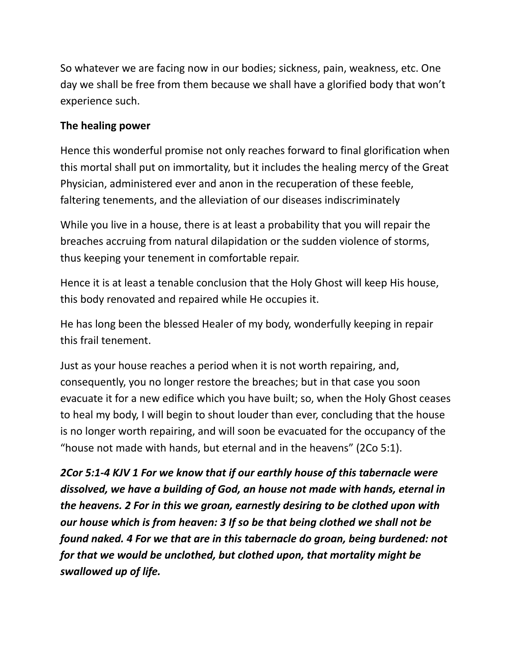So whatever we are facing now in our bodies; sickness, pain, weakness, etc. One day we shall be free from them because we shall have a glorified body that won't experience such.

#### **The healing power**

Hence this wonderful promise not only reaches forward to final glorification when this mortal shall put on immortality, but it includes the healing mercy of the Great Physician, administered ever and anon in the recuperation of these feeble, faltering tenements, and the alleviation of our diseases indiscriminately

While you live in a house, there is at least a probability that you will repair the breaches accruing from natural dilapidation or the sudden violence of storms, thus keeping your tenement in comfortable repair.

Hence it is at least a tenable conclusion that the Holy Ghost will keep His house, this body renovated and repaired while He occupies it.

He has long been the blessed Healer of my body, wonderfully keeping in repair this frail tenement.

Just as your house reaches a period when it is not worth repairing, and, consequently, you no longer restore the breaches; but in that case you soon evacuate it for a new edifice which you have built; so, when the Holy Ghost ceases to heal my body, I will begin to shout louder than ever, concluding that the house is no longer worth repairing, and will soon be evacuated for the occupancy of the "house not made with hands, but eternal and in the heavens" (2Co 5:1).

*2Cor 5:1-4 KJV 1 For we know that if our earthly house of this tabernacle were dissolved, we have a building of God, an house not made with hands, eternal in the heavens. 2 For in this we groan, earnestly desiring to be clothed upon with our house which is from heaven: 3 If so be that being clothed we shall not be found naked. 4 For we that are in this tabernacle do groan, being burdened: not for that we would be unclothed, but clothed upon, that mortality might be swallowed up of life.*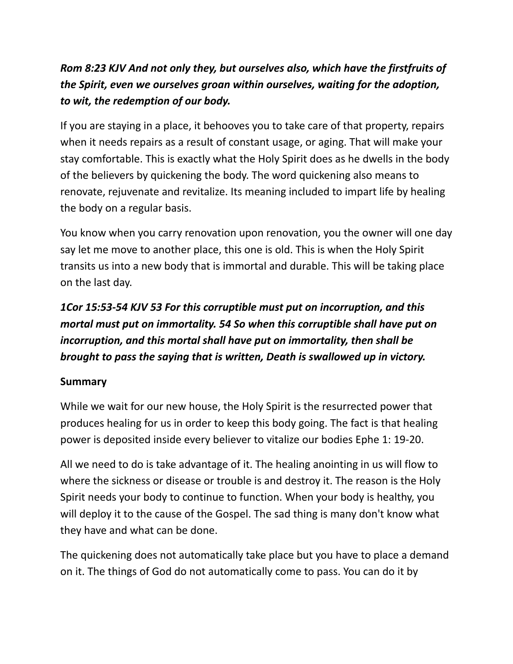# *Rom 8:23 KJV And not only they, but ourselves also, which have the firstfruits of the Spirit, even we ourselves groan within ourselves, waiting for the adoption, to wit, the redemption of our body.*

If you are staying in a place, it behooves you to take care of that property, repairs when it needs repairs as a result of constant usage, or aging. That will make your stay comfortable. This is exactly what the Holy Spirit does as he dwells in the body of the believers by quickening the body. The word quickening also means to renovate, rejuvenate and revitalize. Its meaning included to impart life by healing the body on a regular basis.

You know when you carry renovation upon renovation, you the owner will one day say let me move to another place, this one is old. This is when the Holy Spirit transits us into a new body that is immortal and durable. This will be taking place on the last day.

# *1Cor 15:53-54 KJV 53 For this corruptible must put on incorruption, and this mortal must put on immortality. 54 So when this corruptible shall have put on incorruption, and this mortal shall have put on immortality, then shall be brought to pass the saying that is written, Death is swallowed up in victory.*

### **Summary**

While we wait for our new house, the Holy Spirit is the resurrected power that produces healing for us in order to keep this body going. The fact is that healing power is deposited inside every believer to vitalize our bodies Ephe 1: 19-20.

All we need to do is take advantage of it. The healing anointing in us will flow to where the sickness or disease or trouble is and destroy it. The reason is the Holy Spirit needs your body to continue to function. When your body is healthy, you will deploy it to the cause of the Gospel. The sad thing is many don't know what they have and what can be done.

The quickening does not automatically take place but you have to place a demand on it. The things of God do not automatically come to pass. You can do it by